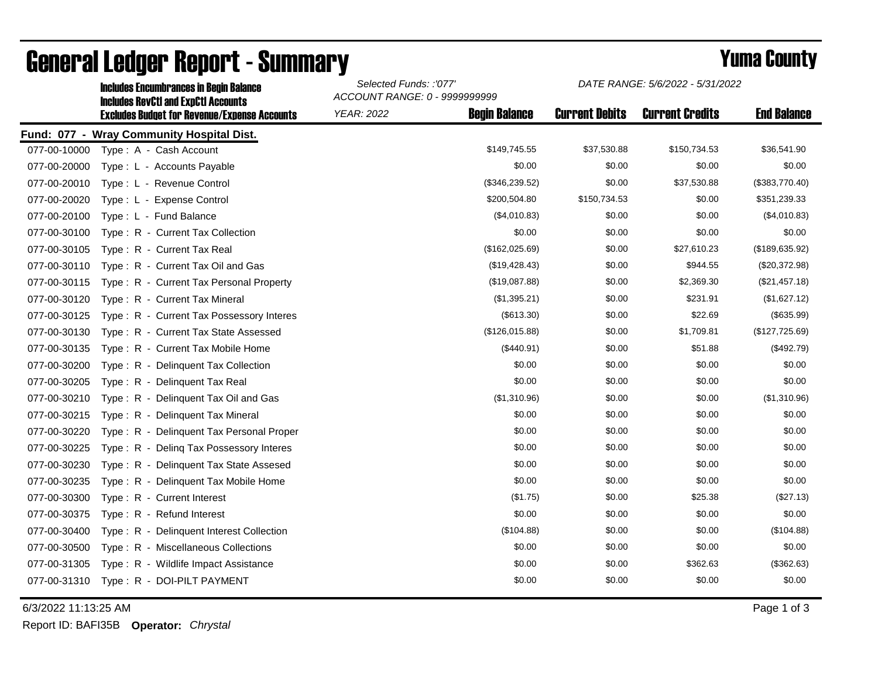|              | <b>Includes Encumbrances in Begin Balance</b><br><b>Includes RevCtI and ExpCtI Accounts</b><br><b>Excludes Budget for Revenue/Expense Accounts</b> | Selected Funds: :'077'<br>ACCOUNT RANGE: 0 - 9999999999 |                      | DATE RANGE: 5/6/2022 - 5/31/2022 |                        |                    |
|--------------|----------------------------------------------------------------------------------------------------------------------------------------------------|---------------------------------------------------------|----------------------|----------------------------------|------------------------|--------------------|
|              |                                                                                                                                                    | <b>YEAR: 2022</b>                                       | <b>Begin Balance</b> | <b>Current Debits</b>            | <b>Current Credits</b> | <b>End Balance</b> |
|              | Fund: 077 - Wray Community Hospital Dist.                                                                                                          |                                                         |                      |                                  |                        |                    |
| 077-00-10000 | Type: A - Cash Account                                                                                                                             |                                                         | \$149,745.55         | \$37,530.88                      | \$150,734.53           | \$36,541.90        |
| 077-00-20000 | Type: L - Accounts Payable                                                                                                                         |                                                         | \$0.00               | \$0.00                           | \$0.00                 | \$0.00             |
| 077-00-20010 | Type: L - Revenue Control                                                                                                                          |                                                         | (\$346,239.52)       | \$0.00                           | \$37,530.88            | (\$383,770.40)     |
| 077-00-20020 | Type: L - Expense Control                                                                                                                          |                                                         | \$200,504.80         | \$150,734.53                     | \$0.00                 | \$351,239.33       |
| 077-00-20100 | Type: L - Fund Balance                                                                                                                             |                                                         | (\$4,010.83)         | \$0.00                           | \$0.00                 | (\$4,010.83)       |
| 077-00-30100 | Type: R - Current Tax Collection                                                                                                                   |                                                         | \$0.00               | \$0.00                           | \$0.00                 | \$0.00             |
| 077-00-30105 | Type: R - Current Tax Real                                                                                                                         |                                                         | (\$162,025.69)       | \$0.00                           | \$27,610.23            | (\$189,635.92)     |
| 077-00-30110 | Type: R - Current Tax Oil and Gas                                                                                                                  |                                                         | (\$19,428.43)        | \$0.00                           | \$944.55               | (\$20,372.98)      |
| 077-00-30115 | Type: R - Current Tax Personal Property                                                                                                            |                                                         | (\$19,087.88)        | \$0.00                           | \$2,369.30             | (\$21,457.18)      |
| 077-00-30120 | Type: R - Current Tax Mineral                                                                                                                      |                                                         | (\$1,395.21)         | \$0.00                           | \$231.91               | (\$1,627.12)       |
| 077-00-30125 | Type: R - Current Tax Possessory Interes                                                                                                           |                                                         | (\$613.30)           | \$0.00                           | \$22.69                | (\$635.99)         |
| 077-00-30130 | Type: R - Current Tax State Assessed                                                                                                               |                                                         | (\$126,015.88)       | \$0.00                           | \$1,709.81             | (\$127,725.69)     |
| 077-00-30135 | Type: R - Current Tax Mobile Home                                                                                                                  |                                                         | (\$440.91)           | \$0.00                           | \$51.88                | (\$492.79)         |
| 077-00-30200 | Type: R - Delinquent Tax Collection                                                                                                                |                                                         | \$0.00               | \$0.00                           | \$0.00                 | \$0.00             |
| 077-00-30205 | Type: R - Delinquent Tax Real                                                                                                                      |                                                         | \$0.00               | \$0.00                           | \$0.00                 | \$0.00             |
| 077-00-30210 | Type: R - Delinquent Tax Oil and Gas                                                                                                               |                                                         | (\$1,310.96)         | \$0.00                           | \$0.00                 | (\$1,310.96)       |
| 077-00-30215 | Type: R - Delinquent Tax Mineral                                                                                                                   |                                                         | \$0.00               | \$0.00                           | \$0.00                 | \$0.00             |
| 077-00-30220 | Type: R - Delinquent Tax Personal Proper                                                                                                           |                                                         | \$0.00               | \$0.00                           | \$0.00                 | \$0.00             |
| 077-00-30225 | Type: R - Deling Tax Possessory Interes                                                                                                            |                                                         | \$0.00               | \$0.00                           | \$0.00                 | \$0.00             |
| 077-00-30230 | Type: R - Delinquent Tax State Assesed                                                                                                             |                                                         | \$0.00               | \$0.00                           | \$0.00                 | \$0.00             |
| 077-00-30235 | Type: R - Delinguent Tax Mobile Home                                                                                                               |                                                         | \$0.00               | \$0.00                           | \$0.00                 | \$0.00             |
| 077-00-30300 | Type: R - Current Interest                                                                                                                         |                                                         | (\$1.75)             | \$0.00                           | \$25.38                | (\$27.13)          |
| 077-00-30375 | Type: R - Refund Interest                                                                                                                          |                                                         | \$0.00               | \$0.00                           | \$0.00                 | \$0.00             |
| 077-00-30400 | Type: R - Delinquent Interest Collection                                                                                                           |                                                         | (\$104.88)           | \$0.00                           | \$0.00                 | (\$104.88)         |
| 077-00-30500 | Type: R - Miscellaneous Collections                                                                                                                |                                                         | \$0.00               | \$0.00                           | \$0.00                 | \$0.00             |
| 077-00-31305 | Type: R - Wildlife Impact Assistance                                                                                                               |                                                         | \$0.00               | \$0.00                           | \$362.63               | (\$362.63)         |
| 077-00-31310 | Type: R - DOI-PILT PAYMENT                                                                                                                         |                                                         | \$0.00               | \$0.00                           | \$0.00                 | \$0.00             |

## General Ledger Report - Summary **Example 2018** Yuma County

6/3/2022 11:13:25 AM Page 1 of 3

Report ID: BAFI35B **Operator:** *Chrystal*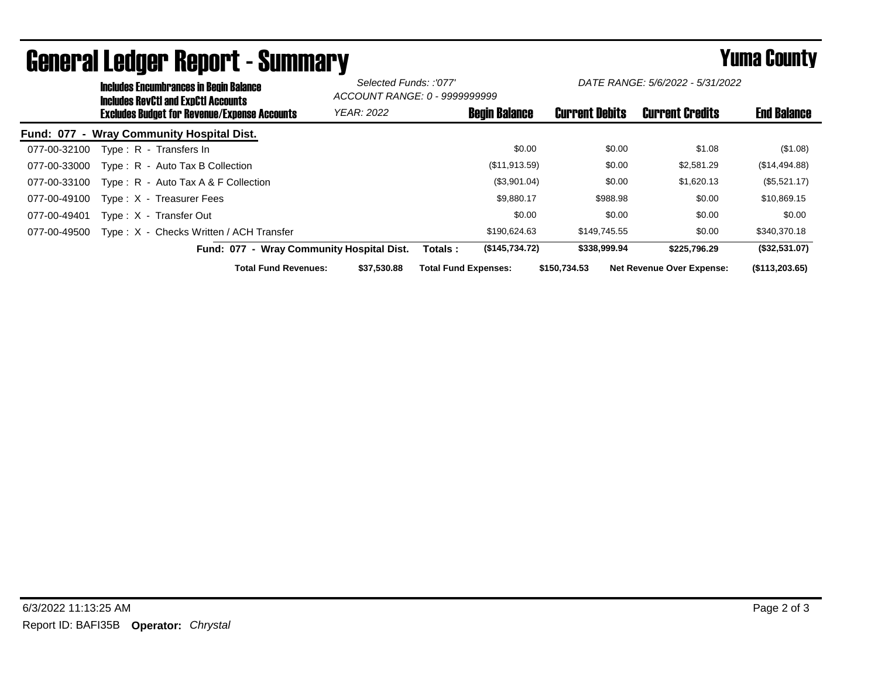| <b>Includes Encumbrances in Begin Balance</b><br>Includes RevCtI and ExpCtI Accounts |                   | Selected Funds: :'077'<br>ACCOUNT RANGE: 0 - 9999999999 |                       | DATE RANGE: 5/6/2022 - 5/31/2022 |                    |
|--------------------------------------------------------------------------------------|-------------------|---------------------------------------------------------|-----------------------|----------------------------------|--------------------|
| <b>Excludes Budget for Revenue/Expense Accounts</b>                                  | <b>YEAR: 2022</b> | <b>Begin Balance</b>                                    | <b>Current Debits</b> | <b>Current Credits</b>           | <b>End Balance</b> |
| Fund: 077 - Wray Community Hospital Dist.                                            |                   |                                                         |                       |                                  |                    |
| Type: R - Transfers In<br>077-00-32100                                               |                   | \$0.00                                                  | \$0.00                | \$1.08                           | (\$1.08)           |
| Type: R - Auto Tax B Collection<br>077-00-33000                                      |                   | (\$11,913.59)                                           | \$0.00                | \$2,581.29                       | (\$14,494.88)      |
| Type : $R -$ Auto Tax A & F Collection<br>077-00-33100                               |                   | (\$3,901.04)                                            | \$0.00                | \$1,620.13                       | (\$5,521.17)       |
| 077-00-49100<br>Type: X - Treasurer Fees                                             |                   | \$9,880.17                                              | \$988.98              | \$0.00                           | \$10,869.15        |
| 077-00-49401<br>Type: X - Transfer Out                                               |                   | \$0.00                                                  | \$0.00                | \$0.00                           | \$0.00             |
| Type: X - Checks Written / ACH Transfer<br>077-00-49500                              |                   | \$190,624.63                                            | \$149.745.55          | \$0.00                           | \$340,370.18       |
| Fund: 077 - Wray Community Hospital Dist.                                            |                   | (\$145,734.72)<br>Totals :                              | \$338,999.94          | \$225,796.29                     | (\$32,531.07)      |
| <b>Total Fund Revenues:</b>                                                          | \$37.530.88       | <b>Total Fund Expenses:</b>                             | \$150,734.53          | <b>Net Revenue Over Expense:</b> | (\$113,203.65)     |

## General Ledger Report - Summary **Example 2018** Yuma County